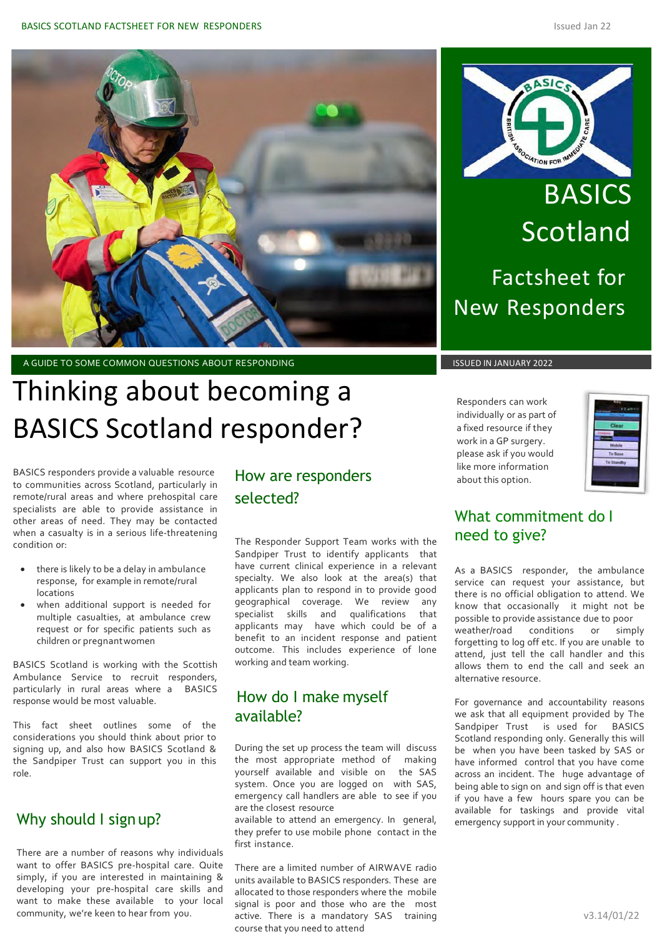

A GUIDE TO SOME COMMON QUESTIONS ABOUT RESPONDING ISSUED IN JANUARY 2022

# Thinking about becoming a BASICS Scotland responder?

to communities across Scotland, particularly in remote/rural areas and where prehospital care specialists are able to provide assistance in other areas of need. They may be contacted when a casualty is in a serious life-threatening condition or: BASICS responders provide a valuable resource

- there is likely to be a delay in ambulance response, for example in remote/rural locations
- when additional support is needed for multiple casualties, at ambulance crew request or for specific patients such as children or pregnantwomen

BASICS Scotland is working with the Scottish Ambulance Service to recruit responders, particularly in rural areas where a BASICS response would be most valuable.

This fact sheet outlines some of the considerations you should think about prior to signing up, and also how BASICS Scotland & the Sandpiper Trust can support you in this role.

## Why should I sign up?

There are a number of reasons why individuals want to offer BASICS pre-hospital care. Quite simply, if you are interested in maintaining & developing your pre-hospital care skills and want to make these available to your local community, we're keen to hear from you.

# How are responders selected?

The Responder Support Team works with the Sandpiper Trust to identify applicants that have current clinical experience in a relevant specialty. We also look at the area(s) that applicants plan to respond in to provide good geographical coverage. We review any specialist skills and qualifications that applicants may have which could be of a benefit to an incident response and patient outcome. This includes experience of lone working and team working.

## How do I make myself available?

During the set up process the team will discuss the most appropriate method of making yourself available and visible on the SAS system. Once you are logged on with SAS, emergency call handlers are able to see if you are the closest resource

available to attend an emergency. In general, they prefer to use mobile phone contact in the first instance.

There are a limited number of AIRWAVE radio units available to BASICS responders. These are allocated to those responders where the mobile signal is poor and those who are the most active. There is a mandatory SAS training course that you need to attend



**BASICS** Scotland Factsheet for New Responders

Responders can work individually or as part of a fixed resource if they work in a GP surgery. please ask if you would like more information about this option.

| Clear<br>Mobile |
|-----------------|
|                 |
|                 |
|                 |
|                 |
| To Base         |
| To Standby      |

## What commitment do I need to give?

As a BASICS responder, the ambulance service can request your assistance, but there is no official obligation to attend. We know that occasionally it might not be possible to provide assistance due to poor weather/road conditions or simply forgetting to log off etc. If you are unable to attend, just tell the call handler and this allows them to end the call and seek an alternative resource.

For governance and accountability reasons we ask that all equipment provided by The Sandpiper Trust is used for BASICS Scotland responding only. Generally this will be when you have been tasked by SAS or have informed control that you have come across an incident. The huge advantage of being able to sign on and sign off is that even if you have a few hours spare you can be available for taskings and provide vital emergency support in your community .